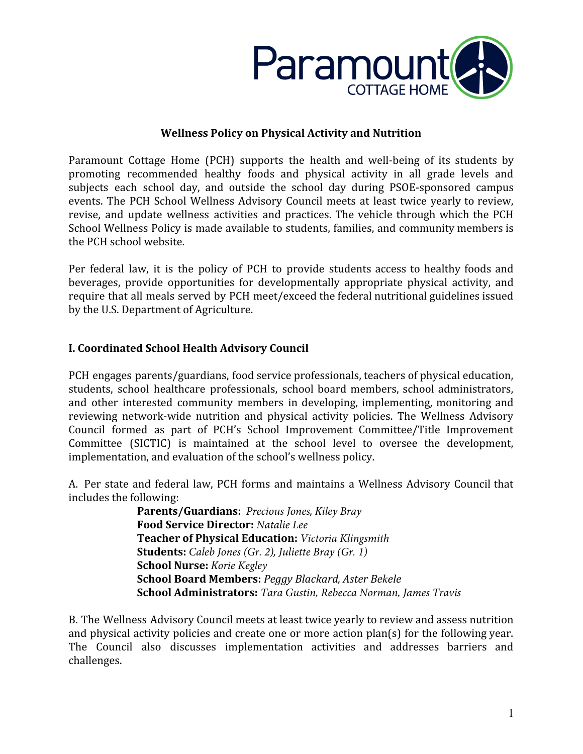

#### **Wellness Policy on Physical Activity and Nutrition**

Paramount Cottage Home (PCH) supports the health and well-being of its students by promoting recommended healthy foods and physical activity in all grade levels and subjects each school day, and outside the school day during PSOE-sponsored campus events. The PCH School Wellness Advisory Council meets at least twice yearly to review, revise, and update wellness activities and practices. The vehicle through which the PCH School Wellness Policy is made available to students, families, and community members is the PCH school website.

Per federal law, it is the policy of PCH to provide students access to healthy foods and beverages, provide opportunities for developmentally appropriate physical activity, and require that all meals served by PCH meet/exceed the federal nutritional guidelines issued by the U.S. Department of Agriculture.

# **I. Coordinated School Health Advisory Council**

PCH engages parents/guardians, food service professionals, teachers of physical education, students, school healthcare professionals, school board members, school administrators, and other interested community members in developing, implementing, monitoring and reviewing network-wide nutrition and physical activity policies. The Wellness Advisory Council formed as part of PCH's School Improvement Committee/Title Improvement Committee (SICTIC) is maintained at the school level to oversee the development, implementation, and evaluation of the school's wellness policy.

A. Per state and federal law, PCH forms and maintains a Wellness Advisory Council that includes the following:

**Parents/Guardians:** *Precious Jones, Kiley Bray* **Food Service Director:** *Natalie Lee* **Teacher of Physical Education:** *Victoria Klingsmith* **Students:** *Caleb Jones (Gr. 2), Juliette Bray (Gr. 1)* **School Nurse:** *Korie Kegley* **School Board Members:** *Peggy Blackard, Aster Bekele*  **School Administrators:** *Tara Gustin, Rebecca Norman, James Travis*

B. The Wellness Advisory Council meets at least twice yearly to review and assess nutrition and physical activity policies and create one or more action plan(s) for the following year. The Council also discusses implementation activities and addresses barriers and challenges.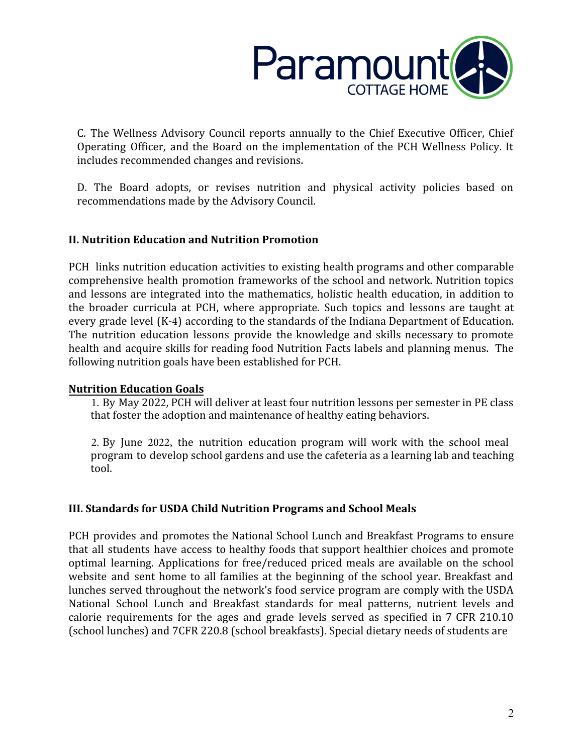

C. The Wellness Advisory Council reports annually to the Chief Executive Officer, Chief Operating Officer, and the Board on the implementation of the PCH Wellness Policy. It includes recommended changes and revisions.

D. The Board adopts, or revises nutrition and physical activity policies based on recommendations made by the Advisory Council.

### **II. Nutrition Education and Nutrition Promotion**

PCH links nutrition education activities to existing health programs and other comparable comprehensive health promotion frameworks of the school and network. Nutrition topics and lessons are integrated into the mathematics, holistic health education, in addition to the broader curricula at PCH, where appropriate. Such topics and lessons are taught at every grade level (K-4) according to the standards of the Indiana Department of Education. The nutrition education lessons provide the knowledge and skills necessary to promote health and acquire skills for reading food Nutrition Facts labels and planning menus. The following nutrition goals have been established for PCH.

#### **Nutrition Education Goals**

1. By May 2022, PCH will deliver at least four nutrition lessons per semester in PE class that foster the adoption and maintenance of healthy eating behaviors.

2. By June 2022, the nutrition education program will work with the school meal program to develop school gardens and use the cafeteria as a learning lab and teaching tool.

### **III. Standards for USDA Child Nutrition Programs and School Meals**

PCH provides and promotes the National School Lunch and Breakfast Programs to ensure that all students have access to healthy foods that support healthier choices and promote optimal learning. Applications for free/reduced priced meals are available on the school website and sent home to all families at the beginning of the school year. Breakfast and lunches served throughout the network's food service program are comply with the USDA National School Lunch and Breakfast standards for meal patterns, nutrient levels and calorie requirements for the ages and grade levels served as specified in 7 CFR 210.10 (school lunches) and 7CFR 220.8 (school breakfasts). Special dietary needs of students are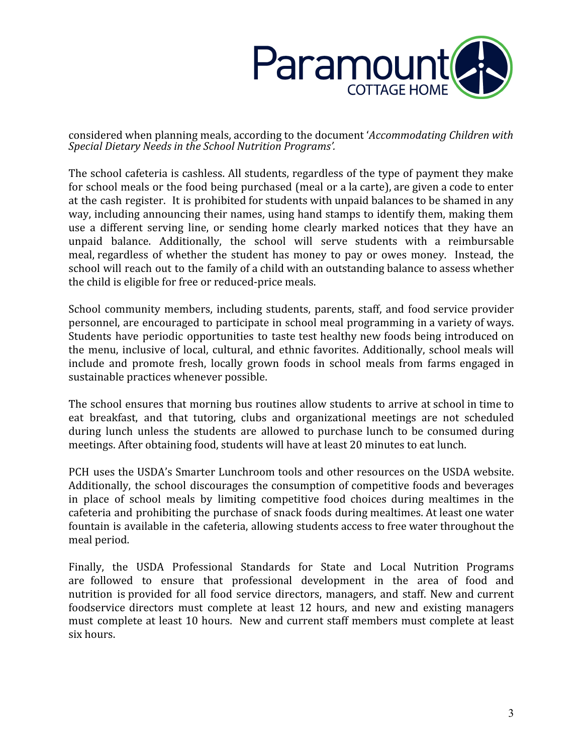

considered when planning meals, according to the document '*Accommodating Children with Special Dietary Needs in the School Nutrition Programs'.* 

The school cafeteria is cashless. All students, regardless of the type of payment they make for school meals or the food being purchased (meal or a la carte), are given a code to enter at the cash register. It is prohibited for students with unpaid balances to be shamed in any way, including announcing their names, using hand stamps to identify them, making them use a different serving line, or sending home clearly marked notices that they have an unpaid balance. Additionally, the school will serve students with a reimbursable meal, regardless of whether the student has money to pay or owes money. Instead, the school will reach out to the family of a child with an outstanding balance to assess whether the child is eligible for free or reduced-price meals.

School community members, including students, parents, staff, and food service provider personnel, are encouraged to participate in school meal programming in a variety of ways. Students have periodic opportunities to taste test healthy new foods being introduced on the menu, inclusive of local, cultural, and ethnic favorites. Additionally, school meals will include and promote fresh, locally grown foods in school meals from farms engaged in sustainable practices whenever possible.

The school ensures that morning bus routines allow students to arrive at school in time to eat breakfast, and that tutoring, clubs and organizational meetings are not scheduled during lunch unless the students are allowed to purchase lunch to be consumed during meetings. After obtaining food, students will have at least 20 minutes to eat lunch.

PCH uses the USDA's Smarter Lunchroom tools and other resources on the USDA website. Additionally, the school discourages the consumption of competitive foods and beverages in place of school meals by limiting competitive food choices during mealtimes in the cafeteria and prohibiting the purchase of snack foods during mealtimes. At least one water fountain is available in the cafeteria, allowing students access to free water throughout the meal period.

Finally, the USDA Professional Standards for State and Local Nutrition Programs are followed to ensure that professional development in the area of food and nutrition is provided for all food service directors, managers, and staff. New and current foodservice directors must complete at least 12 hours, and new and existing managers must complete at least 10 hours. New and current staff members must complete at least six hours.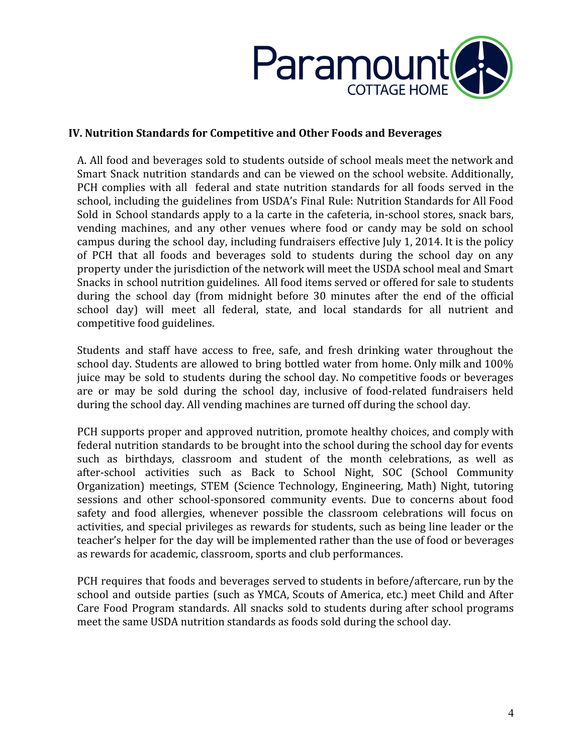

### **IV. Nutrition Standards for Competitive and Other Foods and Beverages**

A. All food and beverages sold to students outside of school meals meet the network and Smart Snack nutrition standards and can be viewed on the school website. Additionally, PCH complies with all federal and state nutrition standards for all foods served in the school, including the guidelines from USDA's Final Rule: Nutrition Standards for All Food Sold in School standards apply to a la carte in the cafeteria, in-school stores, snack bars, vending machines, and any other venues where food or candy may be sold on school campus during the school day, including fundraisers effective July 1, 2014. It is the policy of PCH that all foods and beverages sold to students during the school day on any property under the jurisdiction of the network will meet the USDA school meal and Smart Snacks in school nutrition guidelines. All food items served or offered for sale to students during the school day (from midnight before 30 minutes after the end of the official school day) will meet all federal, state, and local standards for all nutrient and competitive food guidelines.

Students and staff have access to free, safe, and fresh drinking water throughout the school day. Students are allowed to bring bottled water from home. Only milk and 100% juice may be sold to students during the school day. No competitive foods or beverages are or may be sold during the school day, inclusive of food-related fundraisers held during the school day. All vending machines are turned off during the school day.

PCH supports proper and approved nutrition, promote healthy choices, and comply with federal nutrition standards to be brought into the school during the school day for events such as birthdays, classroom and student of the month celebrations, as well as after-school activities such as Back to School Night, SOC (School Community Organization) meetings, STEM (Science Technology, Engineering, Math) Night, tutoring sessions and other school-sponsored community events. Due to concerns about food safety and food allergies, whenever possible the classroom celebrations will focus on activities, and special privileges as rewards for students, such as being line leader or the teacher's helper for the day will be implemented rather than the use of food or beverages as rewards for academic, classroom, sports and club performances.

PCH requires that foods and beverages served to students in before/aftercare, run by the school and outside parties (such as YMCA, Scouts of America, etc.) meet Child and After Care Food Program standards. All snacks sold to students during after school programs meet the same USDA nutrition standards as foods sold during the school day.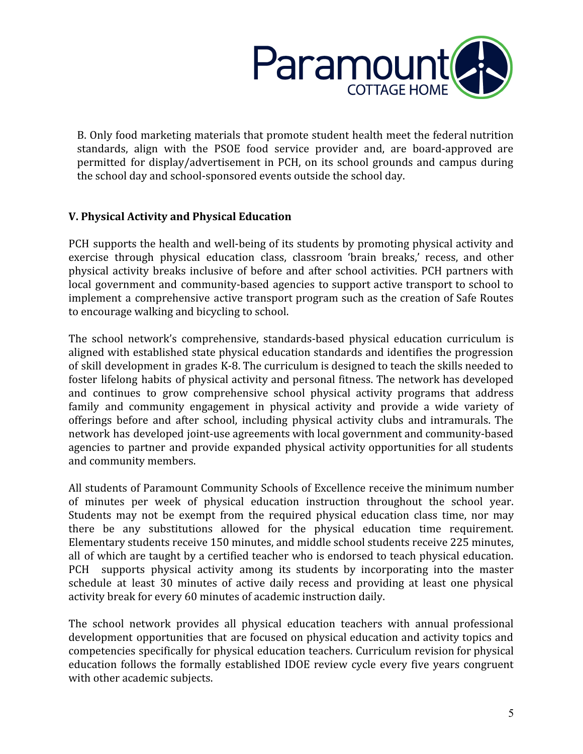

B. Only food marketing materials that promote student health meet the federal nutrition standards, align with the PSOE food service provider and, are board-approved are permitted for display/advertisement in PCH, on its school grounds and campus during the school day and school-sponsored events outside the school day.

# **V. Physical Activity and Physical Education**

PCH supports the health and well-being of its students by promoting physical activity and exercise through physical education class, classroom 'brain breaks,' recess, and other physical activity breaks inclusive of before and after school activities. PCH partners with local government and community-based agencies to support active transport to school to implement a comprehensive active transport program such as the creation of Safe Routes to encourage walking and bicycling to school.

The school network's comprehensive, standards-based physical education curriculum is aligned with established state physical education standards and identifies the progression of skill development in grades K-8. The curriculum is designed to teach the skills needed to foster lifelong habits of physical activity and personal fitness. The network has developed and continues to grow comprehensive school physical activity programs that address family and community engagement in physical activity and provide a wide variety of offerings before and after school, including physical activity clubs and intramurals. The network has developed joint-use agreements with local government and community-based agencies to partner and provide expanded physical activity opportunities for all students and community members.

All students of Paramount Community Schools of Excellence receive the minimum number of minutes per week of physical education instruction throughout the school year. Students may not be exempt from the required physical education class time, nor may there be any substitutions allowed for the physical education time requirement. Elementary students receive 150 minutes, and middle school students receive 225 minutes, all of which are taught by a certified teacher who is endorsed to teach physical education. PCH supports physical activity among its students by incorporating into the master schedule at least 30 minutes of active daily recess and providing at least one physical activity break for every 60 minutes of academic instruction daily.

The school network provides all physical education teachers with annual professional development opportunities that are focused on physical education and activity topics and competencies specifically for physical education teachers. Curriculum revision for physical education follows the formally established IDOE review cycle every five years congruent with other academic subjects.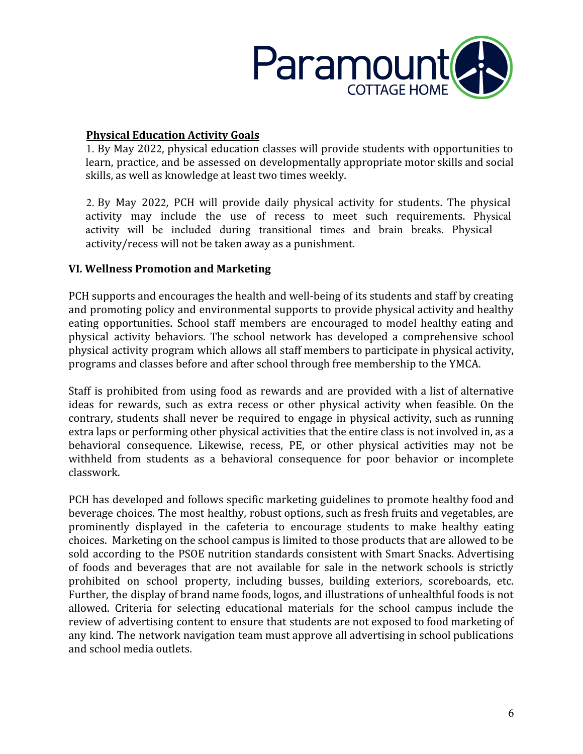

### **Physical Education Activity Goals**

1. By May 2022, physical education classes will provide students with opportunities to learn, practice, and be assessed on developmentally appropriate motor skills and social skills, as well as knowledge at least two times weekly.

2. By May 2022, PCH will provide daily physical activity for students. The physical activity may include the use of recess to meet such requirements. Physical activity will be included during transitional times and brain breaks. Physical activity/recess will not be taken away as a punishment.

# **VI. Wellness Promotion and Marketing**

PCH supports and encourages the health and well-being of its students and staff by creating and promoting policy and environmental supports to provide physical activity and healthy eating opportunities. School staff members are encouraged to model healthy eating and physical activity behaviors. The school network has developed a comprehensive school physical activity program which allows all staff members to participate in physical activity, programs and classes before and after school through free membership to the YMCA.

Staff is prohibited from using food as rewards and are provided with a list of alternative ideas for rewards, such as extra recess or other physical activity when feasible. On the contrary, students shall never be required to engage in physical activity, such as running extra laps or performing other physical activities that the entire class is not involved in, as a behavioral consequence. Likewise, recess, PE, or other physical activities may not be withheld from students as a behavioral consequence for poor behavior or incomplete classwork.

PCH has developed and follows specific marketing guidelines to promote healthy food and beverage choices. The most healthy, robust options, such as fresh fruits and vegetables, are prominently displayed in the cafeteria to encourage students to make healthy eating choices. Marketing on the school campus is limited to those products that are allowed to be sold according to the PSOE nutrition standards consistent with Smart Snacks. Advertising of foods and beverages that are not available for sale in the network schools is strictly prohibited on school property, including busses, building exteriors, scoreboards, etc. Further, the display of brand name foods, logos, and illustrations of unhealthful foods is not allowed. Criteria for selecting educational materials for the school campus include the review of advertising content to ensure that students are not exposed to food marketing of any kind. The network navigation team must approve all advertising in school publications and school media outlets.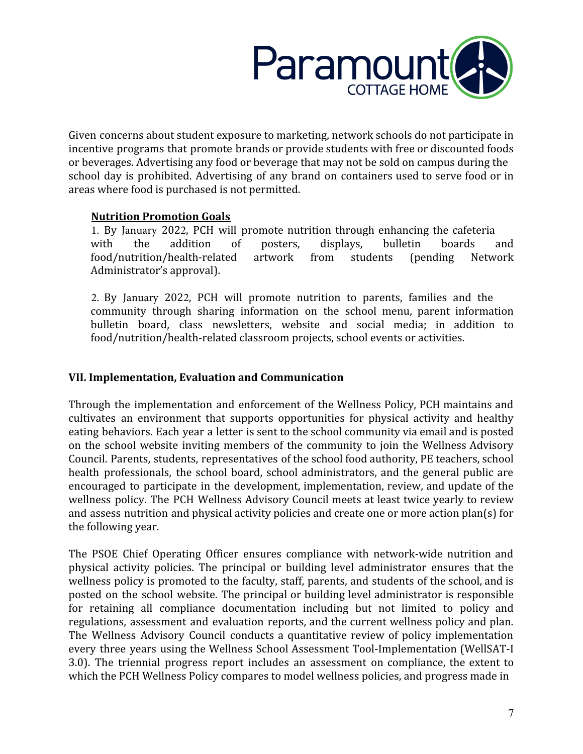

Given concerns about student exposure to marketing, network schools do not participate in incentive programs that promote brands or provide students with free or discounted foods or beverages. Advertising any food or beverage that may not be sold on campus during the school day is prohibited. Advertising of any brand on containers used to serve food or in areas where food is purchased is not permitted.

### **Nutrition Promotion Goals**

1. By January 2022, PCH will promote nutrition through enhancing the cafeteria with the addition of posters, displays, bulletin boards and food/nutrition/health-related artwork from students (pending Network Administrator's approval).

2. By January 2022, PCH will promote nutrition to parents, families and the community through sharing information on the school menu, parent information bulletin board, class newsletters, website and social media; in addition to food/nutrition/health-related classroom projects, school events or activities.

# **VII. Implementation, Evaluation and Communication**

Through the implementation and enforcement of the Wellness Policy, PCH maintains and cultivates an environment that supports opportunities for physical activity and healthy eating behaviors. Each year a letter is sent to the school community via email and is posted on the school website inviting members of the community to join the Wellness Advisory Council. Parents, students, representatives of the school food authority, PE teachers, school health professionals, the school board, school administrators, and the general public are encouraged to participate in the development, implementation, review, and update of the wellness policy. The PCH Wellness Advisory Council meets at least twice yearly to review and assess nutrition and physical activity policies and create one or more action plan(s) for the following year.

The PSOE Chief Operating Officer ensures compliance with network-wide nutrition and physical activity policies. The principal or building level administrator ensures that the wellness policy is promoted to the faculty, staff, parents, and students of the school, and is posted on the school website. The principal or building level administrator is responsible for retaining all compliance documentation including but not limited to policy and regulations, assessment and evaluation reports, and the current wellness policy and plan. The Wellness Advisory Council conducts a quantitative review of policy implementation every three years using the Wellness School Assessment Tool-Implementation (WellSAT-I 3.0). The triennial progress report includes an assessment on compliance, the extent to which the PCH Wellness Policy compares to model wellness policies, and progress made in